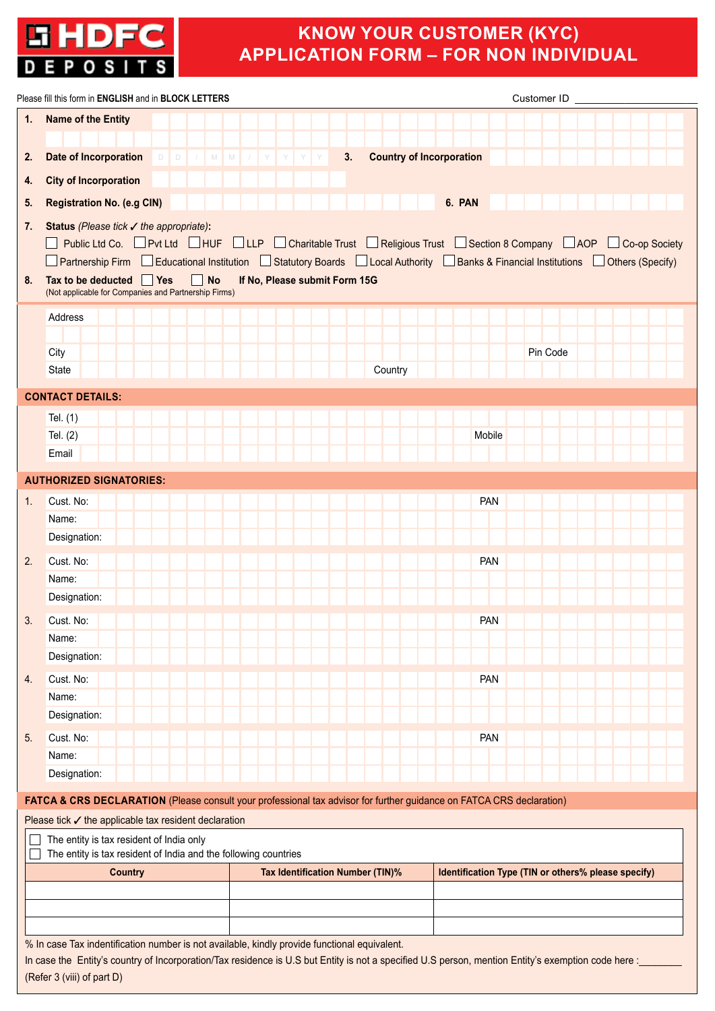

# **KNOW YOUR CUSTOMER (KYC) APPLICATION FORM – FOR NON INDIVIDUAL**

|    | Please fill this form in ENGLISH and in BLOCK LETTERS                                                                                                                                                                                               |                                  |                                       |            | Customer ID                                         |  |
|----|-----------------------------------------------------------------------------------------------------------------------------------------------------------------------------------------------------------------------------------------------------|----------------------------------|---------------------------------------|------------|-----------------------------------------------------|--|
| 1. | Name of the Entity                                                                                                                                                                                                                                  |                                  |                                       |            |                                                     |  |
|    |                                                                                                                                                                                                                                                     |                                  |                                       |            |                                                     |  |
| 2. | <b>Date of Incorporation</b>                                                                                                                                                                                                                        | DD / M M / Y Y Y Y               | 3.<br><b>Country of Incorporation</b> |            |                                                     |  |
| 4. | <b>City of Incorporation</b>                                                                                                                                                                                                                        |                                  |                                       |            |                                                     |  |
| 5. | <b>Registration No. (e.g CIN)</b>                                                                                                                                                                                                                   |                                  |                                       | 6. PAN     |                                                     |  |
| 7. | Status (Please tick √ the appropriate):                                                                                                                                                                                                             |                                  |                                       |            |                                                     |  |
|    | Public Ltd Co. $\Box$ Pvt Ltd $\Box$ HUF $\Box$ LLP $\Box$ Charitable Trust $\Box$ Religious Trust $\Box$ Section 8 Company $\Box$ AOP $\Box$ Co-op Society                                                                                         |                                  |                                       |            |                                                     |  |
| 8. | $\Box$ Partnership Firm $\Box$ Educational Institution $\Box$ Statutory Boards $\Box$ Local Authority $\Box$ Banks & Financial Institutions $\Box$ Others (Specify)<br><b>No</b><br>Tax to be deducted   Yes                                        | If No, Please submit Form 15G    |                                       |            |                                                     |  |
|    | (Not applicable for Companies and Partnership Firms)                                                                                                                                                                                                |                                  |                                       |            |                                                     |  |
|    | Address                                                                                                                                                                                                                                             |                                  |                                       |            |                                                     |  |
|    |                                                                                                                                                                                                                                                     |                                  |                                       |            |                                                     |  |
|    | City                                                                                                                                                                                                                                                |                                  |                                       |            | Pin Code                                            |  |
|    | <b>State</b>                                                                                                                                                                                                                                        |                                  | Country                               |            |                                                     |  |
|    | <b>CONTACT DETAILS:</b>                                                                                                                                                                                                                             |                                  |                                       |            |                                                     |  |
|    | Tel. (1)                                                                                                                                                                                                                                            |                                  |                                       |            |                                                     |  |
|    | Tel. $(2)$                                                                                                                                                                                                                                          |                                  |                                       | Mobile     |                                                     |  |
|    | Email                                                                                                                                                                                                                                               |                                  |                                       |            |                                                     |  |
|    | <b>AUTHORIZED SIGNATORIES:</b>                                                                                                                                                                                                                      |                                  |                                       |            |                                                     |  |
| 1. | Cust. No:                                                                                                                                                                                                                                           |                                  |                                       | <b>PAN</b> |                                                     |  |
|    | Name:                                                                                                                                                                                                                                               |                                  |                                       |            |                                                     |  |
|    | Designation:                                                                                                                                                                                                                                        |                                  |                                       |            |                                                     |  |
| 2. | Cust. No:                                                                                                                                                                                                                                           |                                  |                                       | <b>PAN</b> |                                                     |  |
|    | Name:                                                                                                                                                                                                                                               |                                  |                                       |            |                                                     |  |
|    | Designation:                                                                                                                                                                                                                                        |                                  |                                       |            |                                                     |  |
| 3. | Cust. No:                                                                                                                                                                                                                                           |                                  |                                       | <b>PAN</b> |                                                     |  |
|    | Name:                                                                                                                                                                                                                                               |                                  |                                       |            |                                                     |  |
|    | Designation:                                                                                                                                                                                                                                        |                                  |                                       |            |                                                     |  |
| 4. | Cust. No:<br>Name:                                                                                                                                                                                                                                  |                                  |                                       | <b>PAN</b> |                                                     |  |
|    | Designation:                                                                                                                                                                                                                                        |                                  |                                       |            |                                                     |  |
| 5. | Cust. No:                                                                                                                                                                                                                                           |                                  |                                       | <b>PAN</b> |                                                     |  |
|    | Name:                                                                                                                                                                                                                                               |                                  |                                       |            |                                                     |  |
|    | Designation:                                                                                                                                                                                                                                        |                                  |                                       |            |                                                     |  |
|    | FATCA & CRS DECLARATION (Please consult your professional tax advisor for further guidance on FATCA CRS declaration)                                                                                                                                |                                  |                                       |            |                                                     |  |
|    | Please tick ✔ the applicable tax resident declaration                                                                                                                                                                                               |                                  |                                       |            |                                                     |  |
|    | The entity is tax resident of India only                                                                                                                                                                                                            |                                  |                                       |            |                                                     |  |
|    | The entity is tax resident of India and the following countries                                                                                                                                                                                     |                                  |                                       |            |                                                     |  |
|    | <b>Country</b>                                                                                                                                                                                                                                      | Tax Identification Number (TIN)% |                                       |            | Identification Type (TIN or others% please specify) |  |
|    |                                                                                                                                                                                                                                                     |                                  |                                       |            |                                                     |  |
|    |                                                                                                                                                                                                                                                     |                                  |                                       |            |                                                     |  |
|    |                                                                                                                                                                                                                                                     |                                  |                                       |            |                                                     |  |
|    | % In case Tax indentification number is not available, kindly provide functional equivalent.<br>In case the Entity's country of Incorporation/Tax residence is U.S but Entity is not a specified U.S person, mention Entity's exemption code here : |                                  |                                       |            |                                                     |  |
|    | (Refer 3 (viii) of part D)                                                                                                                                                                                                                          |                                  |                                       |            |                                                     |  |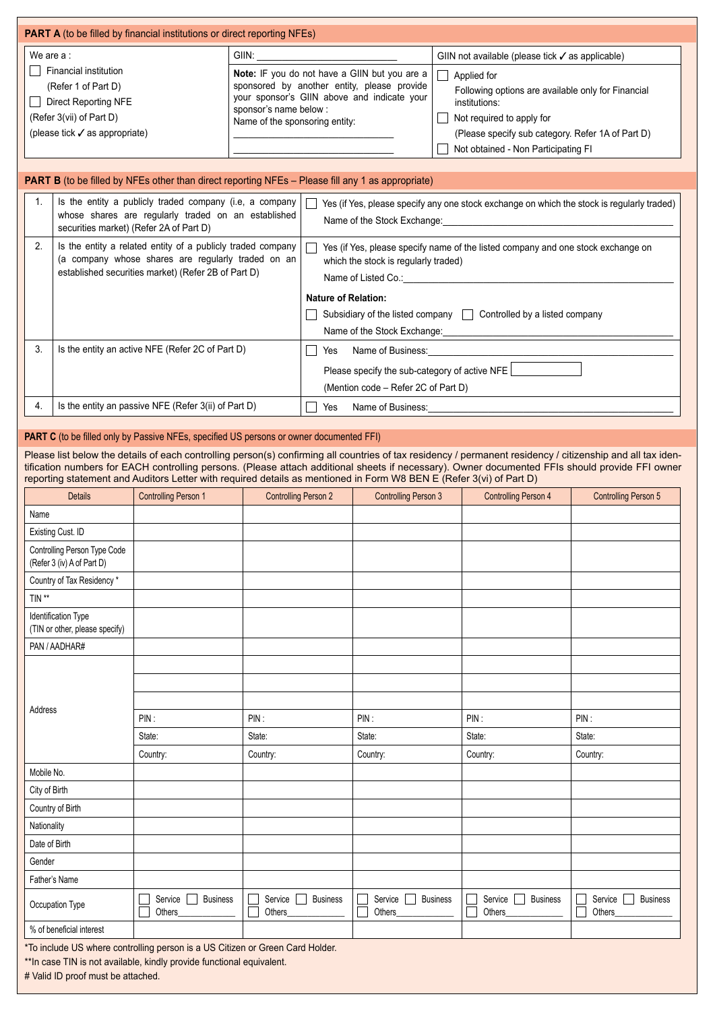| <b>PART A</b> (to be filled by financial institutions or direct reporting NFEs)                                                               |                                                                                                                                                                                                                |                                                                                                                                                                                                             |
|-----------------------------------------------------------------------------------------------------------------------------------------------|----------------------------------------------------------------------------------------------------------------------------------------------------------------------------------------------------------------|-------------------------------------------------------------------------------------------------------------------------------------------------------------------------------------------------------------|
| We are $a$ :                                                                                                                                  | GIIN:                                                                                                                                                                                                          | GIIN not available (please tick $\checkmark$ as applicable)                                                                                                                                                 |
| Financial institution<br>(Refer 1 of Part D)<br>Direct Reporting NFE<br>(Refer 3(vii) of Part D)<br>(please tick $\checkmark$ as appropriate) | <b>Note:</b> IF you do not have a GIIN but you are a<br>sponsored by another entity, please provide<br>your sponsor's GIIN above and indicate your<br>sponsor's name below :<br>Name of the sponsoring entity: | Applied for<br>Following options are available only for Financial<br>institutions:<br>Not required to apply for<br>(Please specify sub category. Refer 1A of Part D)<br>Not obtained - Non Participating FI |
|                                                                                                                                               |                                                                                                                                                                                                                |                                                                                                                                                                                                             |

|  |  |  | <b>PART B</b> (to be filled by NFEs other than direct reporting NFEs – Please fill any 1 as appropriate) |  |  |
|--|--|--|----------------------------------------------------------------------------------------------------------|--|--|
|--|--|--|----------------------------------------------------------------------------------------------------------|--|--|

| 1. | Is the entity a publicly traded company (i.e, a company<br>whose shares are regularly traded on an established<br>securities market) (Refer 2A of Part D)                | $\vert$ $\vert$ Yes (if Yes, please specify any one stock exchange on which the stock is regularly traded)<br>Name of the Stock Exchange:                                                                                                                                       |
|----|--------------------------------------------------------------------------------------------------------------------------------------------------------------------------|---------------------------------------------------------------------------------------------------------------------------------------------------------------------------------------------------------------------------------------------------------------------------------|
| 2. | Is the entity a related entity of a publicly traded company<br>(a company whose shares are regularly traded on an<br>established securities market) (Refer 2B of Part D) | Yes (if Yes, please specify name of the listed company and one stock exchange on<br>which the stock is regularly traded)<br>Name of Listed Co.:<br><b>Nature of Relation:</b><br>Subsidiary of the listed company Controlled by a listed company<br>Name of the Stock Exchange: |
| 3. | Is the entity an active NFE (Refer 2C of Part D)                                                                                                                         | Name of Business:<br>Yes<br>Please specify the sub-category of active NFE<br>(Mention code – Refer 2C of Part D)                                                                                                                                                                |
| 4. | Is the entity an passive NFE (Refer 3(ii) of Part D)                                                                                                                     | Name of Business:<br>Yes                                                                                                                                                                                                                                                        |

### **PART C** (to be filled only by Passive NFEs, specified US persons or owner documented FFI)

Please list below the details of each controlling person(s) confirming all countries of tax residency / permanent residency / citizenship and all tax identification numbers for EACH controlling persons. (Please attach additional sheets if necessary). Owner documented FFIs should provide FFI owner reporting statement and Auditors Letter with required details as mentioned in Form W8 BEN E (Refer 3(vi) of Part D)

| <b>Details</b>                                             | <b>Controlling Person 1</b>                                                   | <b>Controlling Person 2</b>                       | <b>Controlling Person 3</b>               | <b>Controlling Person 4</b>          | <b>Controlling Person 5</b>          |
|------------------------------------------------------------|-------------------------------------------------------------------------------|---------------------------------------------------|-------------------------------------------|--------------------------------------|--------------------------------------|
| Name                                                       |                                                                               |                                                   |                                           |                                      |                                      |
| Existing Cust. ID                                          |                                                                               |                                                   |                                           |                                      |                                      |
| Controlling Person Type Code<br>(Refer 3 (iv) A of Part D) |                                                                               |                                                   |                                           |                                      |                                      |
| Country of Tax Residency*                                  |                                                                               |                                                   |                                           |                                      |                                      |
| $\mathsf{TIN}$ **                                          |                                                                               |                                                   |                                           |                                      |                                      |
| Identification Type<br>(TIN or other, please specify)      |                                                                               |                                                   |                                           |                                      |                                      |
| PAN / AADHAR#                                              |                                                                               |                                                   |                                           |                                      |                                      |
|                                                            |                                                                               |                                                   |                                           |                                      |                                      |
|                                                            |                                                                               |                                                   |                                           |                                      |                                      |
| Address                                                    |                                                                               |                                                   |                                           |                                      |                                      |
|                                                            | PIN:                                                                          | PIN:                                              | PIN:                                      | PIN:                                 | PIN:                                 |
|                                                            | State:                                                                        | State:                                            | State:                                    | State:                               | State:                               |
|                                                            | Country:                                                                      | Country:                                          | Country:                                  | Country:                             | Country:                             |
| Mobile No.                                                 |                                                                               |                                                   |                                           |                                      |                                      |
| City of Birth                                              |                                                                               |                                                   |                                           |                                      |                                      |
| Country of Birth                                           |                                                                               |                                                   |                                           |                                      |                                      |
| Nationality                                                |                                                                               |                                                   |                                           |                                      |                                      |
| Date of Birth                                              |                                                                               |                                                   |                                           |                                      |                                      |
| Gender                                                     |                                                                               |                                                   |                                           |                                      |                                      |
| Father's Name                                              |                                                                               |                                                   |                                           |                                      |                                      |
| Occupation Type                                            | Service  <br><b>Business</b><br>Others                                        | Service <sub>1</sub><br><b>Business</b><br>Others | Service<br><b>Business</b><br>Others<br>П | Service<br><b>Business</b><br>Others | Service<br><b>Business</b><br>Others |
| % of beneficial interest                                   |                                                                               |                                                   |                                           |                                      |                                      |
|                                                            | *To include US where controlling person is a US Citizen or Green Card Holder. |                                                   |                                           |                                      |                                      |

\*\*In case TIN is not available, kindly provide functional equivalent. # Valid ID proof must be attached.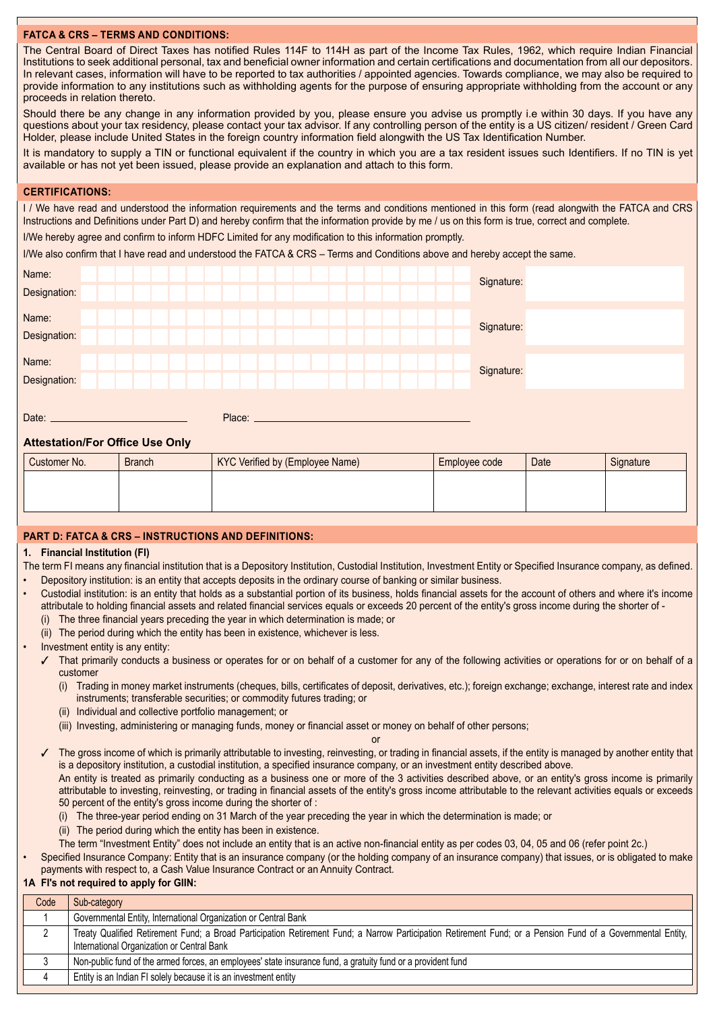## **FATCA & CRS – TERMS AND CONDITIONS:**

The Central Board of Direct Taxes has notified Rules 114F to 114H as part of the Income Tax Rules, 1962, which require Indian Financial Institutions to seek additional personal, tax and beneficial owner information and certain certifications and documentation from all our depositors. In relevant cases, information will have to be reported to tax authorities / appointed agencies. Towards compliance, we may also be required to provide information to any institutions such as withholding agents for the purpose of ensuring appropriate withholding from the account or any proceeds in relation thereto.

Should there be any change in any information provided by you, please ensure you advise us promptly i.e within 30 days. If you have any questions about your tax residency, please contact your tax advisor. If any controlling person of the entity is a US citizen/ resident / Green Card Holder, please include United States in the foreign country information field alongwith the US Tax Identification Number.

It is mandatory to supply a TIN or functional equivalent if the country in which you are a tax resident issues such Identifiers. If no TIN is yet available or has not yet been issued, please provide an explanation and attach to this form.

#### **CERTIFICATIONS:**

I / We have read and understood the information requirements and the terms and conditions mentioned in this form (read alongwith the FATCA and CRS Instructions and Definitions under Part D) and hereby confirm that the information provide by me / us on this form is true, correct and complete.

I/We hereby agree and confirm to inform HDFC Limited for any modification to this information promptly.

I/We also confirm that I have read and understood the FATCA & CRS – Terms and Conditions above and hereby accept the same.

| Name:        |  |  |  |        |  |  |  |  |  | Signature: |  |  |
|--------------|--|--|--|--------|--|--|--|--|--|------------|--|--|
| Designation: |  |  |  |        |  |  |  |  |  |            |  |  |
|              |  |  |  |        |  |  |  |  |  |            |  |  |
| Name:        |  |  |  |        |  |  |  |  |  | Signature: |  |  |
| Designation: |  |  |  |        |  |  |  |  |  |            |  |  |
|              |  |  |  |        |  |  |  |  |  |            |  |  |
| Name:        |  |  |  |        |  |  |  |  |  | Signature: |  |  |
| Designation: |  |  |  |        |  |  |  |  |  |            |  |  |
|              |  |  |  |        |  |  |  |  |  |            |  |  |
|              |  |  |  |        |  |  |  |  |  |            |  |  |
| Date:        |  |  |  | Place: |  |  |  |  |  |            |  |  |

## **Attestation/For Office Use Only**

| Customer No. | <b>Branch</b> | KYC Verified by (Employee Name) | Employee code | Date | Signature |
|--------------|---------------|---------------------------------|---------------|------|-----------|
|              |               |                                 |               |      |           |
|              |               |                                 |               |      |           |
|              |               |                                 |               |      |           |

#### **PART D: FATCA & CRS – INSTRUCTIONS AND DEFINITIONS:**

#### **1. Financial Institution (FI)**

- The term FI means any financial institution that is a Depository Institution, Custodial Institution, Investment Entity or Specified Insurance company, as defined.
- Depository institution: is an entity that accepts deposits in the ordinary course of banking or similar business.
	- Custodial institution: is an entity that holds as a substantial portion of its business, holds financial assets for the account of others and where it's income attributale to holding financial assets and related financial services equals or exceeds 20 percent of the entity's gross income during the shorter of -
		- (i) The three financial years preceding the year in which determination is made; or
		- (ii) The period during which the entity has been in existence, whichever is less.
- Investment entity is any entity:
	- $\checkmark$  That primarily conducts a business or operates for or on behalf of a customer for any of the following activities or operations for or on behalf of a customer
		- (i) Trading in money market instruments (cheques, bills, certificates of deposit, derivatives, etc.); foreign exchange; exchange, interest rate and index instruments; transferable securities; or commodity futures trading; or
		- (ii) Individual and collective portfolio management; or
		- (iii) Investing, administering or managing funds, money or financial asset or money on behalf of other persons;
- or and the control of the control of the control of the control of the control of the control of The gross income of which is primarily attributable to investing, reinvesting, or trading in financial assets, if the entity is managed by another entity that is a depository institution, a custodial institution, a specified insurance company, or an investment entity described above. An entity is treated as primarily conducting as a business one or more of the 3 activities described above, or an entity's gross income is primarily attributable to investing, reinvesting, or trading in financial assets of the entity's gross income attributable to the relevant activities equals or exceeds 50 percent of the entity's gross income during the shorter of :
	- (i) The three-year period ending on 31 March of the year preceding the year in which the determination is made; or
	- (ii) The period during which the entity has been in existence.
	- The term "Investment Entity" does not include an entity that is an active non-financial entity as per codes 03, 04, 05 and 06 (refer point 2c.)
- Specified Insurance Company: Entity that is an insurance company (or the holding company of an insurance company) that issues, or is obligated to make payments with respect to, a Cash Value Insurance Contract or an Annuity Contract.

# **1A FI's not required to apply for GIIN:**

| Code | Sub-category                                                                                                                                                                                                 |
|------|--------------------------------------------------------------------------------------------------------------------------------------------------------------------------------------------------------------|
|      | Governmental Entity, International Organization or Central Bank                                                                                                                                              |
|      | Treaty Qualified Retirement Fund; a Broad Participation Retirement Fund; a Narrow Participation Retirement Fund; or a Pension Fund of a Governmental Entity,  <br>International Organization or Central Bank |
| v    | Non-public fund of the armed forces, an employees' state insurance fund, a gratuity fund or a provident fund                                                                                                 |
|      | Entity is an Indian FI solely because it is an investment entity                                                                                                                                             |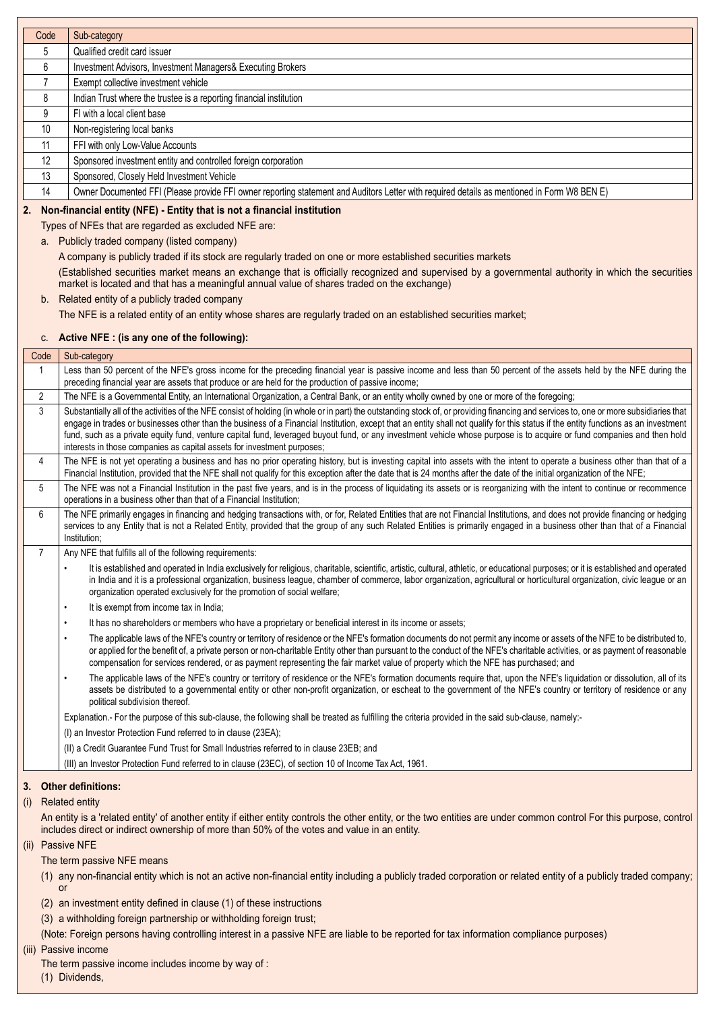| Code           |                        | Sub-category                                                                                                                                                                                                                                                                                                                                                                   |
|----------------|------------------------|--------------------------------------------------------------------------------------------------------------------------------------------------------------------------------------------------------------------------------------------------------------------------------------------------------------------------------------------------------------------------------|
| 5              |                        | Qualified credit card issuer                                                                                                                                                                                                                                                                                                                                                   |
| 6              |                        | Investment Advisors, Investment Managers& Executing Brokers                                                                                                                                                                                                                                                                                                                    |
| 7              |                        | Exempt collective investment vehicle                                                                                                                                                                                                                                                                                                                                           |
| 8              |                        | Indian Trust where the trustee is a reporting financial institution                                                                                                                                                                                                                                                                                                            |
| 9              |                        | FI with a local client base                                                                                                                                                                                                                                                                                                                                                    |
| 10             |                        | Non-registering local banks                                                                                                                                                                                                                                                                                                                                                    |
| 11             |                        | FFI with only Low-Value Accounts                                                                                                                                                                                                                                                                                                                                               |
| 12<br>13       |                        | Sponsored investment entity and controlled foreign corporation<br>Sponsored, Closely Held Investment Vehicle                                                                                                                                                                                                                                                                   |
| 14             |                        | Owner Documented FFI (Please provide FFI owner reporting statement and Auditors Letter with required details as mentioned in Form W8 BEN E)                                                                                                                                                                                                                                    |
|                |                        |                                                                                                                                                                                                                                                                                                                                                                                |
| 2.             |                        | Non-financial entity (NFE) - Entity that is not a financial institution<br>Types of NFEs that are regarded as excluded NFE are:                                                                                                                                                                                                                                                |
|                |                        | a. Publicly traded company (listed company)                                                                                                                                                                                                                                                                                                                                    |
|                |                        | A company is publicly traded if its stock are regularly traded on one or more established securities markets                                                                                                                                                                                                                                                                   |
|                |                        | (Established securities market means an exchange that is officially recognized and supervised by a governmental authority in which the securities                                                                                                                                                                                                                              |
|                |                        | market is located and that has a meaningful annual value of shares traded on the exchange)                                                                                                                                                                                                                                                                                     |
|                |                        | b. Related entity of a publicly traded company                                                                                                                                                                                                                                                                                                                                 |
|                |                        | The NFE is a related entity of an entity whose shares are regularly traded on an established securities market;                                                                                                                                                                                                                                                                |
|                | C.                     | Active NFE : (is any one of the following):                                                                                                                                                                                                                                                                                                                                    |
| Code           |                        | Sub-category                                                                                                                                                                                                                                                                                                                                                                   |
| $\mathbf{1}$   |                        | Less than 50 percent of the NFE's gross income for the preceding financial year is passive income and less than 50 percent of the assets held by the NFE during the                                                                                                                                                                                                            |
|                |                        | preceding financial year are assets that produce or are held for the production of passive income;                                                                                                                                                                                                                                                                             |
| $\overline{2}$ |                        | The NFE is a Governmental Entity, an International Organization, a Central Bank, or an entity wholly owned by one or more of the foregoing;                                                                                                                                                                                                                                    |
| 3              |                        | Substantially all of the activities of the NFE consist of holding (in whole or in part) the outstanding stock of, or providing financing and services to, one or more subsidiaries that<br>engage in trades or businesses other than the business of a Financial Institution, except that an entity shall not qualify for this status if the entity functions as an investment |
|                |                        | fund, such as a private equity fund, venture capital fund, leveraged buyout fund, or any investment vehicle whose purpose is to acquire or fund companies and then hold                                                                                                                                                                                                        |
|                |                        | interests in those companies as capital assets for investment purposes;                                                                                                                                                                                                                                                                                                        |
| 4              |                        | The NFE is not yet operating a business and has no prior operating history, but is investing capital into assets with the intent to operate a business other than that of a                                                                                                                                                                                                    |
| 5              |                        | Financial Institution, provided that the NFE shall not qualify for this exception after the date that is 24 months after the date of the initial organization of the NFE;<br>The NFE was not a Financial Institution in the past five years, and is in the process of liquidating its assets or is reorganizing with the intent to continue or recommence                      |
|                |                        | operations in a business other than that of a Financial Institution;                                                                                                                                                                                                                                                                                                           |
| 6              |                        | The NFE primarily engages in financing and hedging transactions with, or for, Related Entities that are not Financial Institutions, and does not provide financing or hedging                                                                                                                                                                                                  |
|                |                        | services to any Entity that is not a Related Entity, provided that the group of any such Related Entities is primarily engaged in a business other than that of a Financial<br>Institution:                                                                                                                                                                                    |
| $\overline{7}$ |                        | Any NFE that fulfills all of the following requirements:                                                                                                                                                                                                                                                                                                                       |
|                |                        | It is established and operated in India exclusively for religious, charitable, scientific, artistic, cultural, athletic, or educational purposes; or it is established and operated                                                                                                                                                                                            |
|                |                        | in India and it is a professional organization, business league, chamber of commerce, labor organization, agricultural or horticultural organization, civic league or an                                                                                                                                                                                                       |
|                |                        | organization operated exclusively for the promotion of social welfare;                                                                                                                                                                                                                                                                                                         |
|                | $\bullet$              | It is exempt from income tax in India;                                                                                                                                                                                                                                                                                                                                         |
|                | $\bullet$<br>$\bullet$ | It has no shareholders or members who have a proprietary or beneficial interest in its income or assets;                                                                                                                                                                                                                                                                       |
|                |                        | The applicable laws of the NFE's country or territory of residence or the NFE's formation documents do not permit any income or assets of the NFE to be distributed to,<br>or applied for the benefit of, a private person or non-charitable Entity other than pursuant to the conduct of the NFE's charitable activities, or as payment of reasonable                         |
|                |                        | compensation for services rendered, or as payment representing the fair market value of property which the NFE has purchased; and                                                                                                                                                                                                                                              |
|                |                        | The applicable laws of the NFE's country or territory of residence or the NFE's formation documents require that, upon the NFE's liquidation or dissolution, all of its                                                                                                                                                                                                        |
|                |                        | assets be distributed to a governmental entity or other non-profit organization, or escheat to the government of the NFE's country or territory of residence or any<br>political subdivision thereof.                                                                                                                                                                          |
|                |                        | Explanation.- For the purpose of this sub-clause, the following shall be treated as fulfilling the criteria provided in the said sub-clause, namely:-                                                                                                                                                                                                                          |
|                |                        | (I) an Investor Protection Fund referred to in clause (23EA);                                                                                                                                                                                                                                                                                                                  |
|                |                        | (II) a Credit Guarantee Fund Trust for Small Industries referred to in clause 23EB; and                                                                                                                                                                                                                                                                                        |
|                |                        | (III) an Investor Protection Fund referred to in clause (23EC), of section 10 of Income Tax Act, 1961.                                                                                                                                                                                                                                                                         |
| 3.             |                        | <b>Other definitions:</b>                                                                                                                                                                                                                                                                                                                                                      |
| (i)            |                        | <b>Related entity</b>                                                                                                                                                                                                                                                                                                                                                          |
|                |                        | An entity is a 'related entity' of another entity if either entity controls the other entity, or the two entities are under common control For this purpose, control                                                                                                                                                                                                           |
|                |                        | includes direct or indirect ownership of more than 50% of the votes and value in an entity.                                                                                                                                                                                                                                                                                    |
| (ii)           |                        | <b>Passive NFE</b>                                                                                                                                                                                                                                                                                                                                                             |
|                |                        | The term passive NFE means                                                                                                                                                                                                                                                                                                                                                     |
|                |                        | (1) any non-financial entity which is not an active non-financial entity including a publicly traded corporation or related entity of a publicly traded company;                                                                                                                                                                                                               |
|                | <b>or</b>              |                                                                                                                                                                                                                                                                                                                                                                                |
|                |                        | (2) an investment entity defined in clause (1) of these instructions                                                                                                                                                                                                                                                                                                           |
|                |                        | (3) a withholding foreign partnership or withholding foreign trust;                                                                                                                                                                                                                                                                                                            |
|                |                        | (Note: Foreign persons having controlling interest in a passive NFE are liable to be reported for tax information compliance purposes)<br>(iii) Passive income                                                                                                                                                                                                                 |
|                |                        | The term passive income includes income by way of:                                                                                                                                                                                                                                                                                                                             |
|                |                        | (1) Dividends,                                                                                                                                                                                                                                                                                                                                                                 |
|                |                        |                                                                                                                                                                                                                                                                                                                                                                                |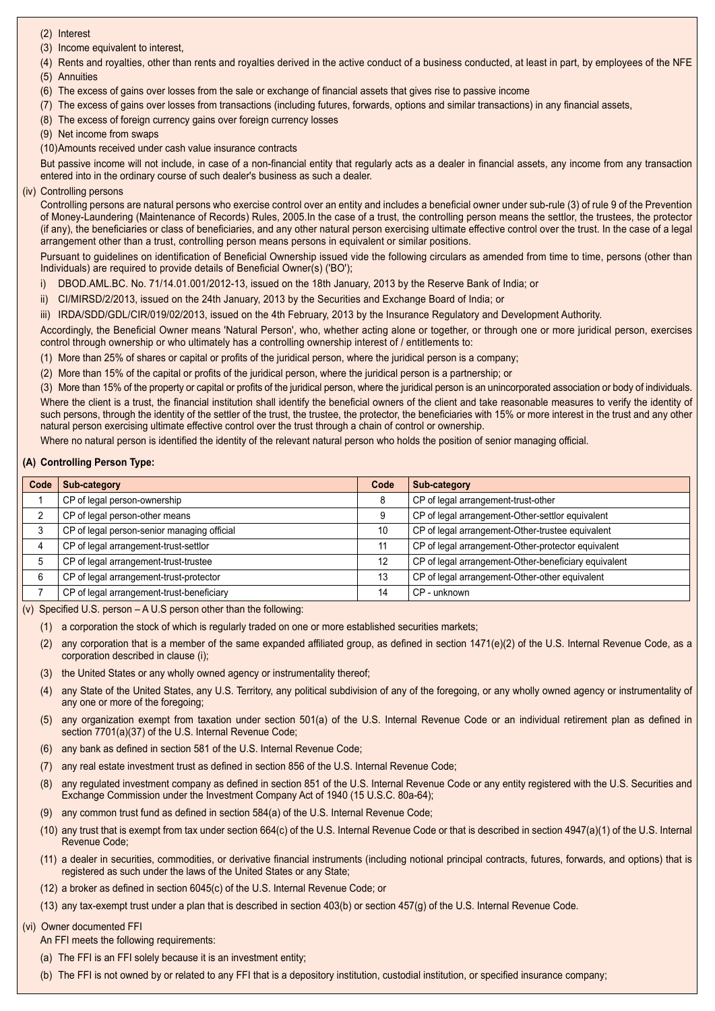(2) Interest

(3) Income equivalent to interest,

- (4) Rents and royalties, other than rents and royalties derived in the active conduct of a business conducted, at least in part, by employees of the NFE (5) Annuities
- (6) The excess of gains over losses from the sale or exchange of financial assets that gives rise to passive income
- (7) The excess of gains over losses from transactions (including futures, forwards, options and similar transactions) in any financial assets,
- (8) The excess of foreign currency gains over foreign currency losses

(9) Net income from swaps

(10)Amounts received under cash value insurance contracts

But passive income will not include, in case of a non-financial entity that regularly acts as a dealer in financial assets, any income from any transaction entered into in the ordinary course of such dealer's business as such a dealer.

(iv) Controlling persons

Controlling persons are natural persons who exercise control over an entity and includes a beneficial owner under sub-rule (3) of rule 9 of the Prevention of Money-Laundering (Maintenance of Records) Rules, 2005.In the case of a trust, the controlling person means the settlor, the trustees, the protector (if any), the beneficiaries or class of beneficiaries, and any other natural person exercising ultimate effective control over the trust. In the case of a legal arrangement other than a trust, controlling person means persons in equivalent or similar positions.

Pursuant to guidelines on identification of Beneficial Ownership issued vide the following circulars as amended from time to time, persons (other than Individuals) are required to provide details of Beneficial Owner(s) ('BO');

- i) DBOD.AML.BC. No. 71/14.01.001/2012-13, issued on the 18th January, 2013 by the Reserve Bank of India; or
- ii) CI/MIRSD/2/2013, issued on the 24th January, 2013 by the Securities and Exchange Board of India; or

iii) IRDA/SDD/GDL/CIR/019/02/2013, issued on the 4th February, 2013 by the Insurance Regulatory and Development Authority.

Accordingly, the Beneficial Owner means 'Natural Person', who, whether acting alone or together, or through one or more juridical person, exercises control through ownership or who ultimately has a controlling ownership interest of / entitlements to:

- (1) More than 25% of shares or capital or profits of the juridical person, where the juridical person is a company;
- (2) More than 15% of the capital or profits of the juridical person, where the juridical person is a partnership; or

(3) More than 15% of the property or capital or profits of the juridical person, where the juridical person is an unincorporated association or body of individuals. Where the client is a trust, the financial institution shall identify the beneficial owners of the client and take reasonable measures to verify the identity of such persons, through the identity of the settler of the trust, the trustee, the protector, the beneficiaries with 15% or more interest in the trust and any other natural person exercising ultimate effective control over the trust through a chain of control or ownership.

Where no natural person is identified the identity of the relevant natural person who holds the position of senior managing official.

#### **(A) Controlling Person Type:**

| Code | Sub-category                                | Code | Sub-category                                         |
|------|---------------------------------------------|------|------------------------------------------------------|
|      | CP of legal person-ownership                | 8    | CP of legal arrangement-trust-other                  |
|      | CP of legal person-other means              | 9    | CP of legal arrangement-Other-settlor equivalent     |
|      | CP of legal person-senior managing official | 10   | CP of legal arrangement-Other-trustee equivalent     |
|      | CP of legal arrangement-trust-settlor       |      | CP of legal arrangement-Other-protector equivalent   |
|      | CP of legal arrangement-trust-trustee       | 12   | CP of legal arrangement-Other-beneficiary equivalent |
| 6    | CP of legal arrangement-trust-protector     | 13   | CP of legal arrangement-Other-other equivalent       |
|      | CP of legal arrangement-trust-beneficiary   | 14   | CP - unknown                                         |

(v) Specified U.S. person – A U.S person other than the following:

(1) a corporation the stock of which is regularly traded on one or more established securities markets;

- (2) any corporation that is a member of the same expanded affiliated group, as defined in section 1471(e)(2) of the U.S. Internal Revenue Code, as a corporation described in clause (i);
- (3) the United States or any wholly owned agency or instrumentality thereof;
- (4) any State of the United States, any U.S. Territory, any political subdivision of any of the foregoing, or any wholly owned agency or instrumentality of any one or more of the foregoing;
- (5) any organization exempt from taxation under section 501(a) of the U.S. Internal Revenue Code or an individual retirement plan as defined in section 7701(a)(37) of the U.S. Internal Revenue Code;
- (6) any bank as defined in section 581 of the U.S. Internal Revenue Code;
- (7) any real estate investment trust as defined in section 856 of the U.S. Internal Revenue Code;
- (8) any regulated investment company as defined in section 851 of the U.S. Internal Revenue Code or any entity registered with the U.S. Securities and Exchange Commission under the Investment Company Act of 1940 (15 U.S.C. 80a-64);
- (9) any common trust fund as defined in section 584(a) of the U.S. Internal Revenue Code;
- (10) any trust that is exempt from tax under section 664(c) of the U.S. Internal Revenue Code or that is described in section 4947(a)(1) of the U.S. Internal Revenue Code;
- (11) a dealer in securities, commodities, or derivative financial instruments (including notional principal contracts, futures, forwards, and options) that is registered as such under the laws of the United States or any State;
- (12) a broker as defined in section 6045(c) of the U.S. Internal Revenue Code; or
- (13) any tax-exempt trust under a plan that is described in section 403(b) or section 457(g) of the U.S. Internal Revenue Code.

#### (vi) Owner documented FFI

- An FFI meets the following requirements:
- (a) The FFI is an FFI solely because it is an investment entity;
- (b) The FFI is not owned by or related to any FFI that is a depository institution, custodial institution, or specified insurance company;